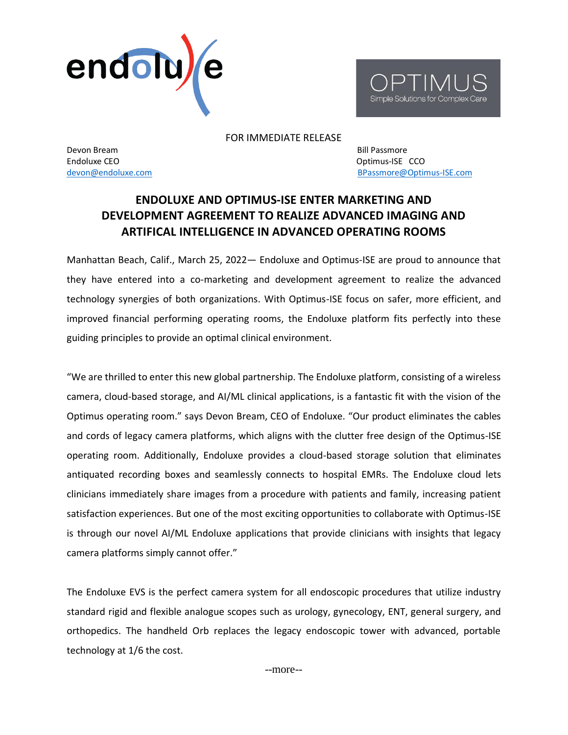



FOR IMMEDIATE RELEASE

Devon Bream Bill Passmore Endoluxe CEO **Optimus-ISE** CCO

[devon@endoluxe.com](mailto:devon@endoluxe.com) and a series of the series of the series of the [BPassmore@Optimus-ISE.com](mailto:BPassmore@Optimus-ISE.com)

## **ENDOLUXE AND OPTIMUS-ISE ENTER MARKETING AND DEVELOPMENT AGREEMENT TO REALIZE ADVANCED IMAGING AND ARTIFICAL INTELLIGENCE IN ADVANCED OPERATING ROOMS**

Manhattan Beach, Calif., March 25, 2022— Endoluxe and Optimus-ISE are proud to announce that they have entered into a co-marketing and development agreement to realize the advanced technology synergies of both organizations. With Optimus-ISE focus on safer, more efficient, and improved financial performing operating rooms, the Endoluxe platform fits perfectly into these guiding principles to provide an optimal clinical environment.

"We are thrilled to enter this new global partnership. The Endoluxe platform, consisting of a wireless camera, cloud-based storage, and AI/ML clinical applications, is a fantastic fit with the vision of the Optimus operating room." says Devon Bream, CEO of Endoluxe. "Our product eliminates the cables and cords of legacy camera platforms, which aligns with the clutter free design of the Optimus-ISE operating room. Additionally, Endoluxe provides a cloud-based storage solution that eliminates antiquated recording boxes and seamlessly connects to hospital EMRs. The Endoluxe cloud lets clinicians immediately share images from a procedure with patients and family, increasing patient satisfaction experiences. But one of the most exciting opportunities to collaborate with Optimus-ISE is through our novel AI/ML Endoluxe applications that provide clinicians with insights that legacy camera platforms simply cannot offer."

The Endoluxe EVS is the perfect camera system for all endoscopic procedures that utilize industry standard rigid and flexible analogue scopes such as urology, gynecology, ENT, general surgery, and orthopedics. The handheld Orb replaces the legacy endoscopic tower with advanced, portable technology at 1/6 the cost.

--more--